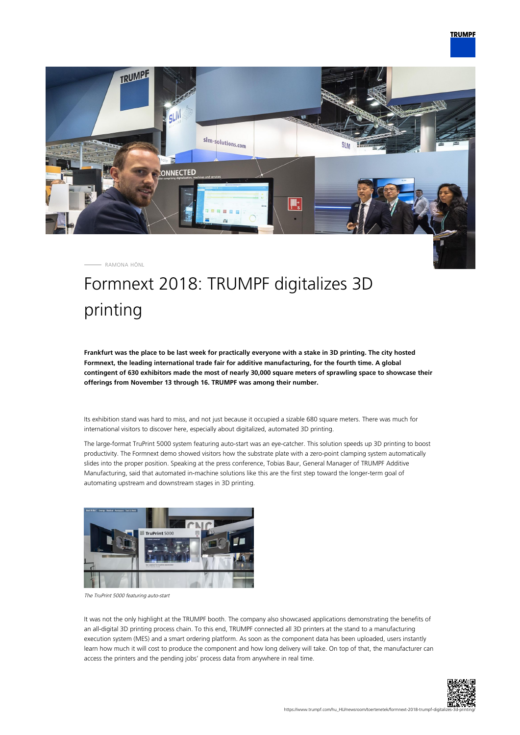

RAMONA HÖNL

## Formnext 2018: TRUMPF digitalizes 3D printing

**Frankfurt was the place to be last week for practically everyone with a stake in 3D printing. The city hosted Formnext, the leading international trade fair for additive manufacturing, for the fourth time. A global contingent of 630 exhibitors made the most of nearly 30,000 square meters of sprawling space to showcase their offerings from November 13 through 16. TRUMPF was among their number.**

Its exhibition stand was hard to miss, and not just because it occupied a sizable 680 square meters. There was much for international visitors to discover here, especially about digitalized, automated 3D printing.

The large-format TruPrint 5000 system featuring auto-start was an eye-catcher. This solution speeds up 3D printing to boost productivity. The Formnext demo showed visitors how the substrate plate with a zero-point clamping system automatically slides into the proper position. Speaking at the press conference, Tobias Baur, General Manager of TRUMPF Additive Manufacturing, said that automated in-machine solutions like this are the first step toward the longer-term goal of automating upstream and downstream stages in 3D printing.



The TruPrint 5000 featuring auto-start

It was not the only highlight at the TRUMPF booth. The company also showcased applications demonstrating the benefits of an all-digital 3D printing process chain. To this end, TRUMPF connected all 3D printers at the stand to a manufacturing execution system (MES) and a smart ordering platform. As soon as the component data has been uploaded, users instantly learn how much it will cost to produce the component and how long delivery will take. On top of that, the manufacturer can access the printers and the pending jobs' process data from anywhere in real time.